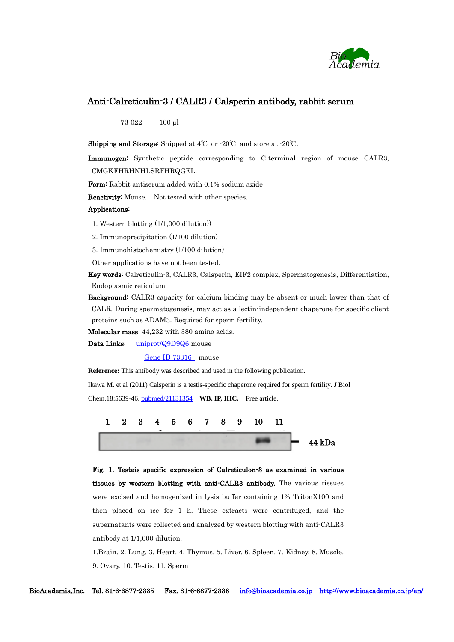

#### Anti-Calreticulin-3 / CALR3 / Calsperin antibody, rabbit serum

73-022 100 µl

Shipping and Storage: Shipped at 4℃ or -20℃ and store at -20℃.

Immunogen: Synthetic peptide corresponding to C-terminal region of mouse CALR3, CMGKFHRHNHLSRFHRQGEL.

Form: Rabbit antiserum added with 0.1% sodium azide

Reactivity: Mouse. Not tested with other species.

#### Applications:

1. Western blotting (1/1,000 dilution))

- 2. Immunoprecipitation (1/100 dilution)
- 3. Immunohistochemistry (1/100 dilution)

Other applications have not been tested.

Key words: Calreticulin-3, CALR3, Calsperin, EIF2 complex, [Spermatogenesis,](http://www.uniprot.org/keywords/KW-0744) [Differentiation,](http://www.uniprot.org/keywords/KW-0221) Endoplasmic reticulum

Background: CALR3 capacity for calcium-binding may be absent or much lower than that of CALR. During spermatogenesis, may act as a lectin-independent chaperone for specific client proteins such as ADAM3. Required for sperm fertility.

Molecular mass: 44,232 with 380 amino acids.

Data Links: [uniprot/Q9D9Q6](http://www.uniprot.org/uniprot/Q9D9Q6) mouse

[Gene ID 73316](http://www.ncbi.nlm.nih.gov/gene/73316) mouse

**Reference:** This antibody was described and used in the following publication.

Ikawa M. et al (2011) Calsperin is a testis-specific chaperone required for sperm fertility. [J Biol](http://www.ncbi.nlm.nih.gov/pubmed/21131354)  [Chem.1](http://www.ncbi.nlm.nih.gov/pubmed/21131354)8:5639-46. [pubmed/21131354](http://www.ncbi.nlm.nih.gov/pubmed/21131354) **WB, IP, IHC.** Free article.



Fig. 1. Testeis specific expression of Calreticulon-3 as examined in various tissues by western blotting with anti-CALR3 antibody. The various tissues were excised and homogenized in lysis buffer containing 1% TritonX100 and then placed on ice for 1 h. These extracts were centrifuged, and the supernatants were collected and analyzed by western blotting with anti-CALR3 antibody at 1/1,000 dilution.

1.Brain. 2. Lung. 3. Heart. 4. Thymus. 5. Liver. 6. Spleen. 7. Kidney. 8. Muscle. 9. Ovary. 10. Testis. 11. Sperm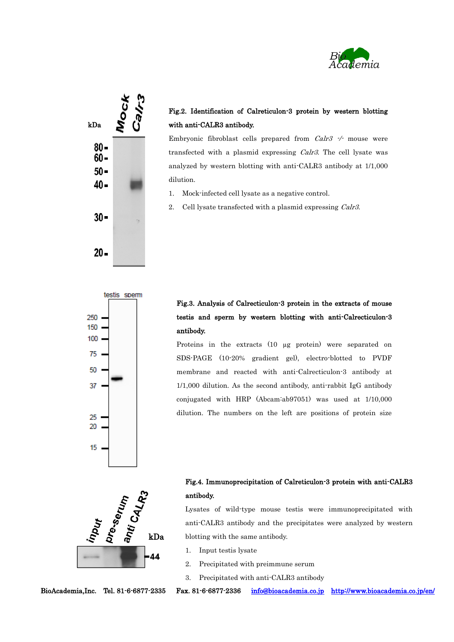



### Fig.2. Identification of Calreticulon-3 protein by western blotting with anti-CALR3 antibody.

Embryonic fibroblast cells prepared from *Calr3*  $\rightarrow$  mouse were transfected with a plasmid expressing Calr3. The cell lysate was analyzed by western blotting with anti-CALR3 antibody at 1/1,000 dilution.

- 1. Mock-infected cell lysate as a negative control.
- 2. Cell lysate transfected with a plasmid expressing Calr3.



# Fig.3. Analysis of Calrecticulon-3 protein in the extracts of mouse testis and sperm by western blotting with anti-Calrecticulon-3 antibody.

Proteins in the extracts (10 µg protein) were separated on SDS-PAGE (10-20% gradient gel), electro-blotted to PVDF membrane and reacted with anti-Calrecticulon-3 antibody at 1/1,000 dilution. As the second antibody, anti-rabbit IgG antibody conjugated with HRP (Abcam:ab97051) was used at 1/10,000 dilution. The numbers on the left are positions of protein size



## Fig.4. Immunoprecipitation of Calreticulon-3 protein with anti-CALR3 antibody.

Lysates of wild-type mouse testis were immunoprecipitated with anti-CALR3 antibody and the precipitates were analyzed by western blotting with the same antibody.

- 1. Input testis lysate
- 2. Precipitated with preimmune serum
- 3. Precipitated with anti-CALR3 antibody

BioAcademia,Inc. Tel. 81-6-6877-2335 Fax. 81-6-6877-2336 [info@bioacademia.co.jp](mailto:info@bioacademia.co.jp) <http://www.bioacademia.co.jp/en/>